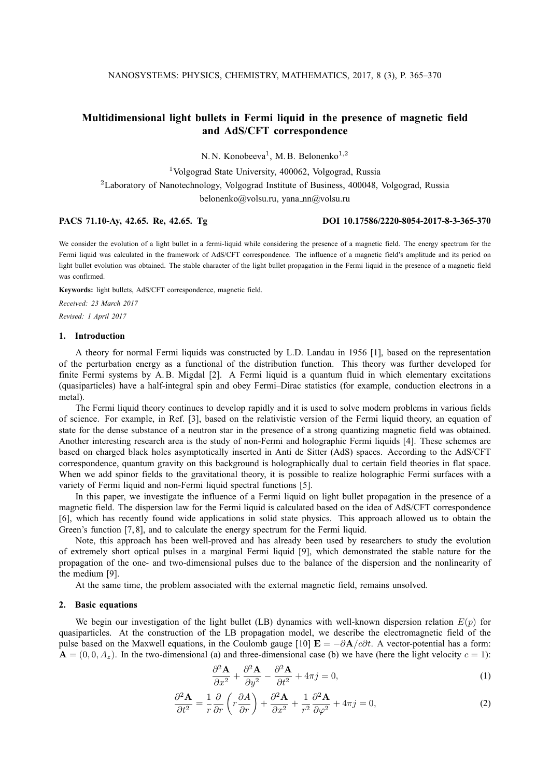# **Multidimensional light bullets in Fermi liquid in the presence of magnetic field and AdS/CFT correspondence**

N. N. Konobeeva<sup>1</sup>, M. B. Belonenko<sup>1,2</sup>

<sup>1</sup>Volgograd State University, 400062, Volgograd, Russia

<sup>2</sup>Laboratory of Nanotechnology, Volgograd Institute of Business, 400048, Volgograd, Russia

belonenko@volsu.ru, yana\_nn@volsu.ru

#### **PACS 71.10-Ay, 42.65. Re, 42.65. Tg DOI 10.17586/2220-8054-2017-8-3-365-370**

We consider the evolution of a light bullet in a fermi-liquid while considering the presence of a magnetic field. The energy spectrum for the Fermi liquid was calculated in the framework of AdS/CFT correspondence. The influence of a magnetic field's amplitude and its period on light bullet evolution was obtained. The stable character of the light bullet propagation in the Fermi liquid in the presence of a magnetic field was confirmed.

**Keywords:** light bullets, AdS/CFT correspondence, magnetic field.

*Received: 23 March 2017 Revised: 1 April 2017*

#### **1. Introduction**

A theory for normal Fermi liquids was constructed by L.D. Landau in 1956 [1], based on the representation of the perturbation energy as a functional of the distribution function. This theory was further developed for finite Fermi systems by A.B. Migdal [2]. A Fermi liquid is a quantum fluid in which elementary excitations (quasiparticles) have a half-integral spin and obey Fermi–Dirac statistics (for example, conduction electrons in a metal).

The Fermi liquid theory continues to develop rapidly and it is used to solve modern problems in various fields of science. For example, in Ref. [3], based on the relativistic version of the Fermi liquid theory, an equation of state for the dense substance of a neutron star in the presence of a strong quantizing magnetic field was obtained. Another interesting research area is the study of non-Fermi and holographic Fermi liquids [4]. These schemes are based on charged black holes asymptotically inserted in Anti de Sitter (AdS) spaces. According to the AdS/CFT correspondence, quantum gravity on this background is holographically dual to certain field theories in flat space. When we add spinor fields to the gravitational theory, it is possible to realize holographic Fermi surfaces with a variety of Fermi liquid and non-Fermi liquid spectral functions [5].

In this paper, we investigate the influence of a Fermi liquid on light bullet propagation in the presence of a magnetic field. The dispersion law for the Fermi liquid is calculated based on the idea of AdS/CFT correspondence [6], which has recently found wide applications in solid state physics. This approach allowed us to obtain the Green's function [7, 8], and to calculate the energy spectrum for the Fermi liquid.

Note, this approach has been well-proved and has already been used by researchers to study the evolution of extremely short optical pulses in a marginal Fermi liquid [9], which demonstrated the stable nature for the propagation of the one- and two-dimensional pulses due to the balance of the dispersion and the nonlinearity of the medium [9].

At the same time, the problem associated with the external magnetic field, remains unsolved.

#### **2. Basic equations**

We begin our investigation of the light bullet (LB) dynamics with well-known dispersion relation  $E(p)$  for quasiparticles. At the construction of the LB propagation model, we describe the electromagnetic field of the pulse based on the Maxwell equations, in the Coulomb gauge [10]  $\mathbf{E} = -\partial \mathbf{A}/c\partial t$ . A vector-potential has a form:  $\mathbf{A} = (0, 0, A_z)$ . In the two-dimensional (a) and three-dimensional case (b) we have (here the light velocity  $c = 1$ ):

$$
\frac{\partial^2 \mathbf{A}}{\partial x^2} + \frac{\partial^2 \mathbf{A}}{\partial y^2} - \frac{\partial^2 \mathbf{A}}{\partial t^2} + 4\pi j = 0,
$$
\n(1)

$$
\frac{\partial^2 \mathbf{A}}{\partial t^2} = \frac{1}{r} \frac{\partial}{\partial r} \left( r \frac{\partial A}{\partial r} \right) + \frac{\partial^2 \mathbf{A}}{\partial x^2} + \frac{1}{r^2} \frac{\partial^2 \mathbf{A}}{\partial \varphi^2} + 4\pi j = 0,
$$
\n(2)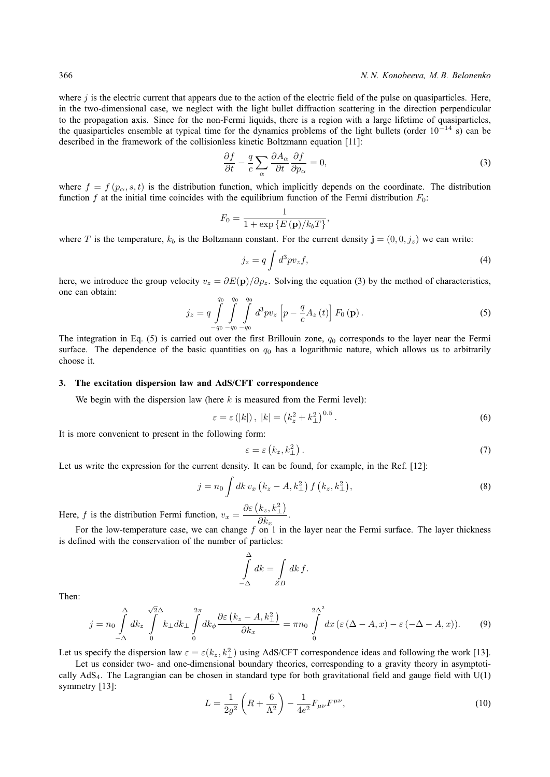where  $j$  is the electric current that appears due to the action of the electric field of the pulse on quasiparticles. Here, in the two-dimensional case, we neglect with the light bullet diffraction scattering in the direction perpendicular to the propagation axis. Since for the non-Fermi liquids, there is a region with a large lifetime of quasiparticles, the quasiparticles ensemble at typical time for the dynamics problems of the light bullets (order  $10^{-14}$  s) can be described in the framework of the collisionless kinetic Boltzmann equation [11]:

$$
\frac{\partial f}{\partial t} - \frac{q}{c} \sum_{\alpha} \frac{\partial A_{\alpha}}{\partial t} \frac{\partial f}{\partial p_{\alpha}} = 0, \tag{3}
$$

where  $f = f(p_\alpha, s, t)$  is the distribution function, which implicitly depends on the coordinate. The distribution function f at the initial time coincides with the equilibrium function of the Fermi distribution  $F_0$ :

$$
F_0 = \frac{1}{1 + \exp\left\{E\left(\mathbf{p}\right) / k_b T\right\}},\
$$

where T is the temperature,  $k_b$  is the Boltzmann constant. For the current density  $\mathbf{j} = (0, 0, j_z)$  we can write:

$$
j_z = q \int d^3 p v_z f,\tag{4}
$$

here, we introduce the group velocity  $v_z = \partial E(\mathbf{p})/\partial p_z$ . Solving the equation (3) by the method of characteristics, one can obtain:

$$
j_{z} = q \int_{-q_{0}}^{q_{0}} \int_{-q_{0}}^{q_{0}} \int_{-q_{0}}^{q_{0}} d^{3}pv_{z} \left[ p - \frac{q}{c} A_{z} \left( t \right) \right] F_{0} \left( \mathbf{p} \right). \tag{5}
$$

The integration in Eq. (5) is carried out over the first Brillouin zone,  $q_0$  corresponds to the layer near the Fermi surface. The dependence of the basic quantities on  $q_0$  has a logarithmic nature, which allows us to arbitrarily choose it.

#### **3. The excitation dispersion law and AdS/CFT correspondence**

We begin with the dispersion law (here  $k$  is measured from the Fermi level):

$$
\varepsilon = \varepsilon\left(|k|\right), \ |k| = \left(k_z^2 + k_\perp^2\right)^{0.5}.\tag{6}
$$

It is more convenient to present in the following form:

$$
\varepsilon = \varepsilon \left( k_z, k_\perp^2 \right). \tag{7}
$$

Let us write the expression for the current density. It can be found, for example, in the Ref. [12]:

$$
j = n_0 \int dk \, v_x \left( k_z - A, k_\perp^2 \right) f \left( k_z, k_\perp^2 \right), \tag{8}
$$

Here, f is the distribution Fermi function,  $v_x =$  $\partial\varepsilon\left(k_z,k_{\perp}^2\right)$  $\frac{\partial}{\partial k_x}$ .

For the low-temperature case, we can change  $f$  on 1 in the layer near the Fermi surface. The layer thickness is defined with the conservation of the number of particles:

$$
\int_{-\Delta}^{\Delta} dk = \int_{ZB} dk f.
$$

Then:

$$
j = n_0 \int_{-\Delta}^{\Delta} dk_z \int_{0}^{\sqrt{2}\Delta} k_{\perp} dk_{\perp} \int_{0}^{2\pi} dk_{\phi} \frac{\partial \varepsilon (k_z - A, k_{\perp}^2)}{\partial k_x} = \pi n_0 \int_{0}^{2\Delta^2} dx \left( \varepsilon (\Delta - A, x) - \varepsilon (-\Delta - A, x) \right).
$$
 (9)

Let us specify the dispersion law  $\varepsilon = \varepsilon(k_z, k_\perp^2)$  using AdS/CFT correspondence ideas and following the work [13].

Let us consider two- and one-dimensional boundary theories, corresponding to a gravity theory in asymptotically  $AdS<sub>4</sub>$ . The Lagrangian can be chosen in standard type for both gravitational field and gauge field with  $U(1)$ symmetry [13]:

$$
L = \frac{1}{2g^2} \left( R + \frac{6}{\Lambda^2} \right) - \frac{1}{4e^2} F_{\mu\nu} F^{\mu\nu}, \tag{10}
$$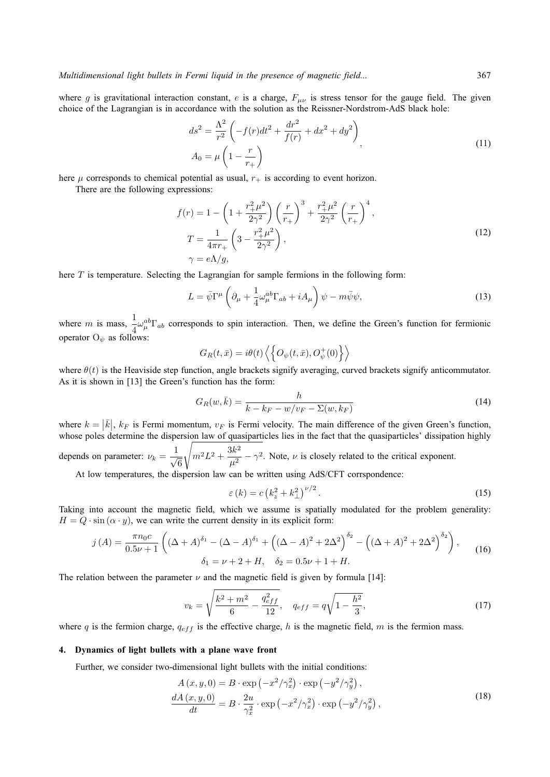where g is gravitational interaction constant, e is a charge,  $F_{\mu\nu}$  is stress tensor for the gauge field. The given choice of the Lagrangian is in accordance with the solution as the Reissner-Nordstrom-AdS black hole:

$$
ds^{2} = \frac{\Lambda^{2}}{r^{2}} \left( -f(r)dt^{2} + \frac{dr^{2}}{f(r)} + dx^{2} + dy^{2} \right),
$$
  
\n
$$
A_{0} = \mu \left( 1 - \frac{r}{r_{+}} \right)
$$
\n(11)

here  $\mu$  corresponds to chemical potential as usual,  $r_{+}$  is according to event horizon.

There are the following expressions:

$$
f(r) = 1 - \left(1 + \frac{r_+^2 \mu^2}{2\gamma^2}\right) \left(\frac{r}{r_+}\right)^3 + \frac{r_+^2 \mu^2}{2\gamma^2} \left(\frac{r}{r_+}\right)^4,
$$
  
\n
$$
T = \frac{1}{4\pi r_+} \left(3 - \frac{r_+^2 \mu^2}{2\gamma^2}\right),
$$
  
\n
$$
\gamma = e\Lambda/g,
$$
\n(12)

here  $T$  is temperature. Selecting the Lagrangian for sample fermions in the following form:

$$
L = \bar{\psi}\Gamma^{\mu}\left(\partial_{\mu} + \frac{1}{4}\omega_{\mu}^{ab}\Gamma_{ab} + iA_{\mu}\right)\psi - m\bar{\psi}\psi,
$$
\n(13)

where m is mass,  $\frac{1}{4}\omega_{\mu}^{ab}\Gamma_{ab}$  corresponds to spin interaction. Then, we define the Green's function for fermionic operator  $O_{\psi}$  as follows:

$$
G_R(t, \bar{x}) = i\theta(t) \left\langle \left\{ O_{\psi}(t, \bar{x}), O_{\psi}^+(0) \right\} \right\rangle
$$

where  $\theta(t)$  is the Heaviside step function, angle brackets signify averaging, curved brackets signify anticommutator. As it is shown in [13] the Green's function has the form:

$$
G_R(w,\bar{k}) = \frac{h}{k - k_F - w/v_F - \Sigma(w,k_F)}
$$
(14)

where  $k = |\bar{k}|$ ,  $k_F$  is Fermi momentum,  $v_F$  is Fermi velocity. The main difference of the given Green's function, whose poles determine the dispersion law of quasiparticles lies in the fact that the quasiparticles' dissipation highly depends on parameter:  $\nu_k = \frac{1}{\sqrt{k}}$ 6 s  $m^2L^2+\frac{3k^2}{2}$  $\frac{\partial u}{\partial t^2} - \gamma^2$ . Note,  $\nu$  is closely related to the critical exponent.

At low temperatures, the dispersion law can be written using AdS/CFT corrspondence:

$$
\varepsilon(k) = c\left(k_z^2 + k_\perp^2\right)^{\nu/2}.\tag{15}
$$

Taking into account the magnetic field, which we assume is spatially modulated for the problem generality:  $H = Q \cdot \sin(\alpha \cdot y)$ , we can write the current density in its explicit form:

$$
j(A) = \frac{\pi n_0 c}{0.5 \nu + 1} \left( \left( \Delta + A \right)^{\delta_1} - \left( \Delta - A \right)^{\delta_1} + \left( \left( \Delta - A \right)^2 + 2 \Delta^2 \right)^{\delta_2} - \left( \left( \Delta + A \right)^2 + 2 \Delta^2 \right)^{\delta_2} \right),
$$
  
\n
$$
\delta_1 = \nu + 2 + H, \quad \delta_2 = 0.5 \nu + 1 + H.
$$
 (16)

The relation between the parameter  $\nu$  and the magnetic field is given by formula [14]:

$$
v_k = \sqrt{\frac{k^2 + m^2}{6} - \frac{q_{eff}^2}{12}}, \quad q_{eff} = q\sqrt{1 - \frac{h^2}{3}},\tag{17}
$$

where q is the fermion charge,  $q_{eff}$  is the effective charge, h is the magnetic field, m is the fermion mass.

## **4. Dynamics of light bullets with a plane wave front**

Further, we consider two-dimensional light bullets with the initial conditions:

$$
A(x, y, 0) = B \cdot \exp\left(-x^2/\gamma_x^2\right) \cdot \exp\left(-y^2/\gamma_y^2\right),
$$
  
\n
$$
\frac{dA(x, y, 0)}{dt} = B \cdot \frac{2u}{\gamma_x^2} \cdot \exp\left(-x^2/\gamma_x^2\right) \cdot \exp\left(-y^2/\gamma_y^2\right),
$$
\n(18)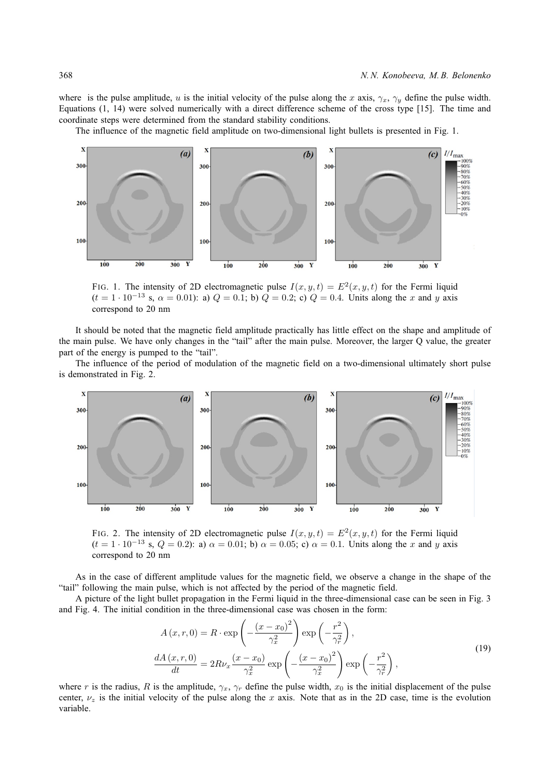where is the pulse amplitude, u is the initial velocity of the pulse along the x axis,  $\gamma_x$ ,  $\gamma_y$  define the pulse width. Equations (1, 14) were solved numerically with a direct difference scheme of the cross type [15]. The time and coordinate steps were determined from the standard stability conditions.

The influence of the magnetic field amplitude on two-dimensional light bullets is presented in Fig. 1.



FIG. 1. The intensity of 2D electromagnetic pulse  $I(x, y, t) = E^2(x, y, t)$  for the Fermi liquid  $(t = 1 \cdot 10^{-13} \text{ s}, \alpha = 0.01)$ : a)  $Q = 0.1$ ; b)  $Q = 0.2$ ; c)  $Q = 0.4$ . Units along the x and y axis correspond to 20 nm

It should be noted that the magnetic field amplitude practically has little effect on the shape and amplitude of the main pulse. We have only changes in the "tail" after the main pulse. Moreover, the larger Q value, the greater part of the energy is pumped to the "tail".

The influence of the period of modulation of the magnetic field on a two-dimensional ultimately short pulse is demonstrated in Fig. 2.



FIG. 2. The intensity of 2D electromagnetic pulse  $I(x, y, t) = E^2(x, y, t)$  for the Fermi liquid  $(t = 1 \cdot 10^{-13} \text{ s}, Q = 0.2)$ : a)  $\alpha = 0.01$ ; b)  $\alpha = 0.05$ ; c)  $\alpha = 0.1$ . Units along the x and y axis correspond to 20 nm

As in the case of different amplitude values for the magnetic field, we observe a change in the shape of the "tail" following the main pulse, which is not affected by the period of the magnetic field.

A picture of the light bullet propagation in the Fermi liquid in the three-dimensional case can be seen in Fig. 3 and Fig. 4. The initial condition in the three-dimensional case was chosen in the form:

$$
A(x, r, 0) = R \cdot \exp\left(-\frac{(x - x_0)^2}{\gamma_x^2}\right) \exp\left(-\frac{r^2}{\gamma_r^2}\right),
$$
  

$$
\frac{dA(x, r, 0)}{dt} = 2R\nu_x \frac{(x - x_0)}{\gamma_x^2} \exp\left(-\frac{(x - x_0)^2}{\gamma_x^2}\right) \exp\left(-\frac{r^2}{\gamma_r^2}\right),
$$
\n(19)

where r is the radius, R is the amplitude,  $\gamma_x$ ,  $\gamma_r$  define the pulse width,  $x_0$  is the initial displacement of the pulse center,  $\nu_z$  is the initial velocity of the pulse along the x axis. Note that as in the 2D case, time is the evolution variable.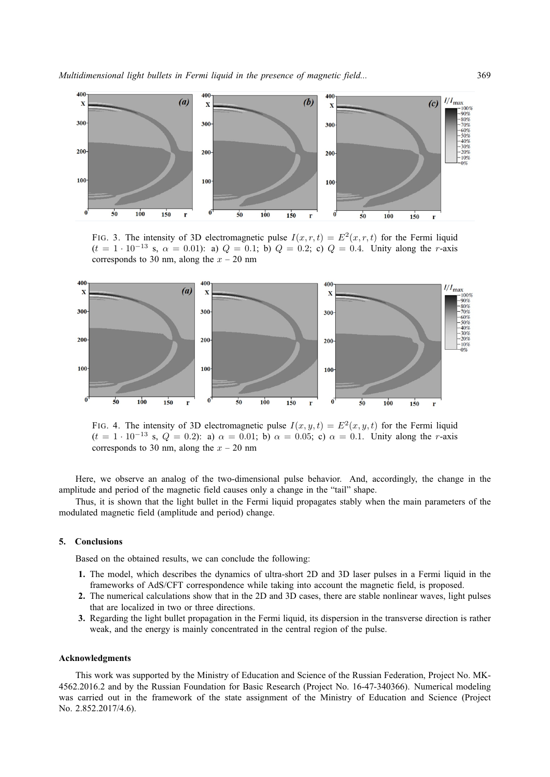

FIG. 3. The intensity of 3D electromagnetic pulse  $I(x, r, t) = E^2(x, r, t)$  for the Fermi liquid  $(t = 1 \cdot 10^{-13}$  s,  $\alpha = 0.01$ : a)  $Q = 0.1$ ; b)  $Q = 0.2$ ; c)  $Q = 0.4$ . Unity along the r-axis corresponds to 30 nm, along the  $x - 20$  nm



FIG. 4. The intensity of 3D electromagnetic pulse  $I(x, y, t) = E^2(x, y, t)$  for the Fermi liquid  $(t = 1 \cdot 10^{-13} \text{ s}, Q = 0.2)$ : a)  $\alpha = 0.01$ ; b)  $\alpha = 0.05$ ; c)  $\alpha = 0.1$ . Unity along the r-axis corresponds to 30 nm, along the  $x - 20$  nm

Here, we observe an analog of the two-dimensional pulse behavior. And, accordingly, the change in the amplitude and period of the magnetic field causes only a change in the "tail" shape.

Thus, it is shown that the light bullet in the Fermi liquid propagates stably when the main parameters of the modulated magnetic field (amplitude and period) change.

### **5. Conclusions**

Based on the obtained results, we can conclude the following:

- **1.** The model, which describes the dynamics of ultra-short 2D and 3D laser pulses in a Fermi liquid in the frameworks of AdS/CFT correspondence while taking into account the magnetic field, is proposed.
- **2.** The numerical calculations show that in the 2D and 3D cases, there are stable nonlinear waves, light pulses that are localized in two or three directions.
- **3.** Regarding the light bullet propagation in the Fermi liquid, its dispersion in the transverse direction is rather weak, and the energy is mainly concentrated in the central region of the pulse.

#### **Acknowledgments**

This work was supported by the Ministry of Education and Science of the Russian Federation, Project No. MK-4562.2016.2 and by the Russian Foundation for Basic Research (Project No. 16-47-340366). Numerical modeling was carried out in the framework of the state assignment of the Ministry of Education and Science (Project No. 2.852.2017/4.6).